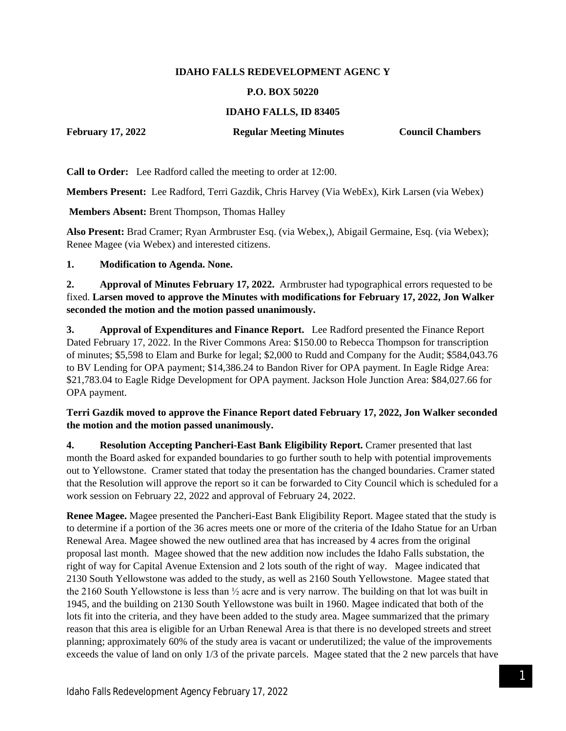### **IDAHO FALLS REDEVELOPMENT AGENC Y**

#### **P.O. BOX 50220**

### **IDAHO FALLS, ID 83405**

**February 17, 2022 Regular Meeting Minutes Council Chambers**

**Call to Order:** Lee Radford called the meeting to order at 12:00.

**Members Present:** Lee Radford, Terri Gazdik, Chris Harvey (Via WebEx), Kirk Larsen (via Webex)

**Members Absent:** Brent Thompson, Thomas Halley

**Also Present:** Brad Cramer; Ryan Armbruster Esq. (via Webex,), Abigail Germaine, Esq. (via Webex); Renee Magee (via Webex) and interested citizens.

#### **1. Modification to Agenda. None.**

**2. Approval of Minutes February 17, 2022.** Armbruster had typographical errors requested to be fixed. **Larsen moved to approve the Minutes with modifications for February 17, 2022, Jon Walker seconded the motion and the motion passed unanimously.**

**3. Approval of Expenditures and Finance Report.** Lee Radford presented the Finance Report Dated February 17, 2022. In the River Commons Area: \$150.00 to Rebecca Thompson for transcription of minutes; \$5,598 to Elam and Burke for legal; \$2,000 to Rudd and Company for the Audit; \$584,043.76 to BV Lending for OPA payment; \$14,386.24 to Bandon River for OPA payment. In Eagle Ridge Area: \$21,783.04 to Eagle Ridge Development for OPA payment. Jackson Hole Junction Area: \$84,027.66 for OPA payment.

#### **Terri Gazdik moved to approve the Finance Report dated February 17, 2022, Jon Walker seconded the motion and the motion passed unanimously.**

**4. Resolution Accepting Pancheri-East Bank Eligibility Report.** Cramer presented that last month the Board asked for expanded boundaries to go further south to help with potential improvements out to Yellowstone. Cramer stated that today the presentation has the changed boundaries. Cramer stated that the Resolution will approve the report so it can be forwarded to City Council which is scheduled for a work session on February 22, 2022 and approval of February 24, 2022.

**Renee Magee.** Magee presented the Pancheri-East Bank Eligibility Report. Magee stated that the study is to determine if a portion of the 36 acres meets one or more of the criteria of the Idaho Statue for an Urban Renewal Area. Magee showed the new outlined area that has increased by 4 acres from the original proposal last month. Magee showed that the new addition now includes the Idaho Falls substation, the right of way for Capital Avenue Extension and 2 lots south of the right of way. Magee indicated that 2130 South Yellowstone was added to the study, as well as 2160 South Yellowstone. Magee stated that the 2160 South Yellowstone is less than ½ acre and is very narrow. The building on that lot was built in 1945, and the building on 2130 South Yellowstone was built in 1960. Magee indicated that both of the lots fit into the criteria, and they have been added to the study area. Magee summarized that the primary reason that this area is eligible for an Urban Renewal Area is that there is no developed streets and street planning; approximately 60% of the study area is vacant or underutilized; the value of the improvements exceeds the value of land on only 1/3 of the private parcels. Magee stated that the 2 new parcels that have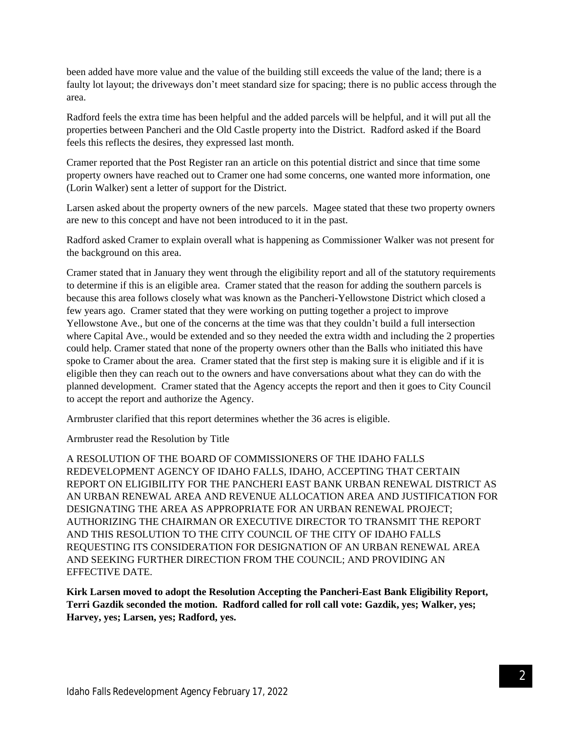been added have more value and the value of the building still exceeds the value of the land; there is a faulty lot layout; the driveways don't meet standard size for spacing; there is no public access through the area.

Radford feels the extra time has been helpful and the added parcels will be helpful, and it will put all the properties between Pancheri and the Old Castle property into the District. Radford asked if the Board feels this reflects the desires, they expressed last month.

Cramer reported that the Post Register ran an article on this potential district and since that time some property owners have reached out to Cramer one had some concerns, one wanted more information, one (Lorin Walker) sent a letter of support for the District.

Larsen asked about the property owners of the new parcels. Magee stated that these two property owners are new to this concept and have not been introduced to it in the past.

Radford asked Cramer to explain overall what is happening as Commissioner Walker was not present for the background on this area.

Cramer stated that in January they went through the eligibility report and all of the statutory requirements to determine if this is an eligible area. Cramer stated that the reason for adding the southern parcels is because this area follows closely what was known as the Pancheri-Yellowstone District which closed a few years ago. Cramer stated that they were working on putting together a project to improve Yellowstone Ave., but one of the concerns at the time was that they couldn't build a full intersection where Capital Ave., would be extended and so they needed the extra width and including the 2 properties could help. Cramer stated that none of the property owners other than the Balls who initiated this have spoke to Cramer about the area. Cramer stated that the first step is making sure it is eligible and if it is eligible then they can reach out to the owners and have conversations about what they can do with the planned development. Cramer stated that the Agency accepts the report and then it goes to City Council to accept the report and authorize the Agency.

Armbruster clarified that this report determines whether the 36 acres is eligible.

Armbruster read the Resolution by Title

A RESOLUTION OF THE BOARD OF COMMISSIONERS OF THE IDAHO FALLS REDEVELOPMENT AGENCY OF IDAHO FALLS, IDAHO, ACCEPTING THAT CERTAIN REPORT ON ELIGIBILITY FOR THE PANCHERI EAST BANK URBAN RENEWAL DISTRICT AS AN URBAN RENEWAL AREA AND REVENUE ALLOCATION AREA AND JUSTIFICATION FOR DESIGNATING THE AREA AS APPROPRIATE FOR AN URBAN RENEWAL PROJECT; AUTHORIZING THE CHAIRMAN OR EXECUTIVE DIRECTOR TO TRANSMIT THE REPORT AND THIS RESOLUTION TO THE CITY COUNCIL OF THE CITY OF IDAHO FALLS REQUESTING ITS CONSIDERATION FOR DESIGNATION OF AN URBAN RENEWAL AREA AND SEEKING FURTHER DIRECTION FROM THE COUNCIL; AND PROVIDING AN EFFECTIVE DATE.

**Kirk Larsen moved to adopt the Resolution Accepting the Pancheri-East Bank Eligibility Report, Terri Gazdik seconded the motion. Radford called for roll call vote: Gazdik, yes; Walker, yes; Harvey, yes; Larsen, yes; Radford, yes.**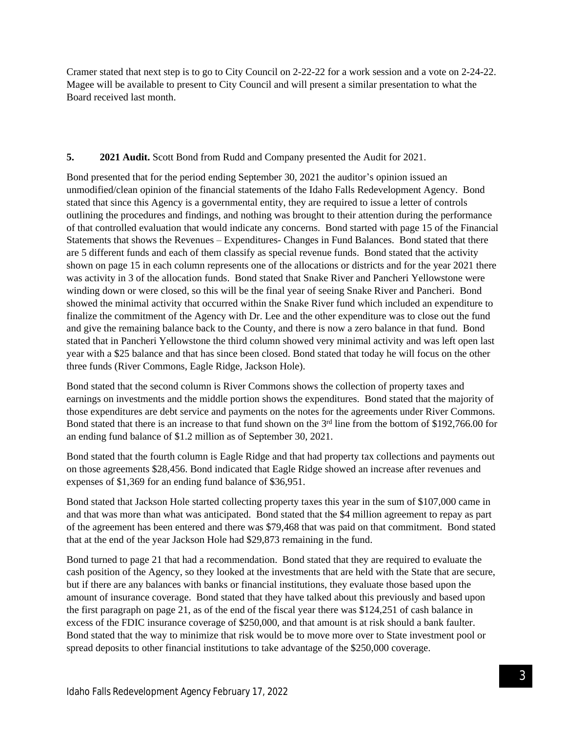Cramer stated that next step is to go to City Council on 2-22-22 for a work session and a vote on 2-24-22. Magee will be available to present to City Council and will present a similar presentation to what the Board received last month.

## **5. 2021 Audit.** Scott Bond from Rudd and Company presented the Audit for 2021.

Bond presented that for the period ending September 30, 2021 the auditor's opinion issued an unmodified/clean opinion of the financial statements of the Idaho Falls Redevelopment Agency. Bond stated that since this Agency is a governmental entity, they are required to issue a letter of controls outlining the procedures and findings, and nothing was brought to their attention during the performance of that controlled evaluation that would indicate any concerns. Bond started with page 15 of the Financial Statements that shows the Revenues – Expenditures- Changes in Fund Balances. Bond stated that there are 5 different funds and each of them classify as special revenue funds. Bond stated that the activity shown on page 15 in each column represents one of the allocations or districts and for the year 2021 there was activity in 3 of the allocation funds. Bond stated that Snake River and Pancheri Yellowstone were winding down or were closed, so this will be the final year of seeing Snake River and Pancheri. Bond showed the minimal activity that occurred within the Snake River fund which included an expenditure to finalize the commitment of the Agency with Dr. Lee and the other expenditure was to close out the fund and give the remaining balance back to the County, and there is now a zero balance in that fund. Bond stated that in Pancheri Yellowstone the third column showed very minimal activity and was left open last year with a \$25 balance and that has since been closed. Bond stated that today he will focus on the other three funds (River Commons, Eagle Ridge, Jackson Hole).

Bond stated that the second column is River Commons shows the collection of property taxes and earnings on investments and the middle portion shows the expenditures. Bond stated that the majority of those expenditures are debt service and payments on the notes for the agreements under River Commons. Bond stated that there is an increase to that fund shown on the 3rd line from the bottom of \$192,766.00 for an ending fund balance of \$1.2 million as of September 30, 2021.

Bond stated that the fourth column is Eagle Ridge and that had property tax collections and payments out on those agreements \$28,456. Bond indicated that Eagle Ridge showed an increase after revenues and expenses of \$1,369 for an ending fund balance of \$36,951.

Bond stated that Jackson Hole started collecting property taxes this year in the sum of \$107,000 came in and that was more than what was anticipated. Bond stated that the \$4 million agreement to repay as part of the agreement has been entered and there was \$79,468 that was paid on that commitment. Bond stated that at the end of the year Jackson Hole had \$29,873 remaining in the fund.

Bond turned to page 21 that had a recommendation. Bond stated that they are required to evaluate the cash position of the Agency, so they looked at the investments that are held with the State that are secure, but if there are any balances with banks or financial institutions, they evaluate those based upon the amount of insurance coverage. Bond stated that they have talked about this previously and based upon the first paragraph on page 21, as of the end of the fiscal year there was \$124,251 of cash balance in excess of the FDIC insurance coverage of \$250,000, and that amount is at risk should a bank faulter. Bond stated that the way to minimize that risk would be to move more over to State investment pool or spread deposits to other financial institutions to take advantage of the \$250,000 coverage.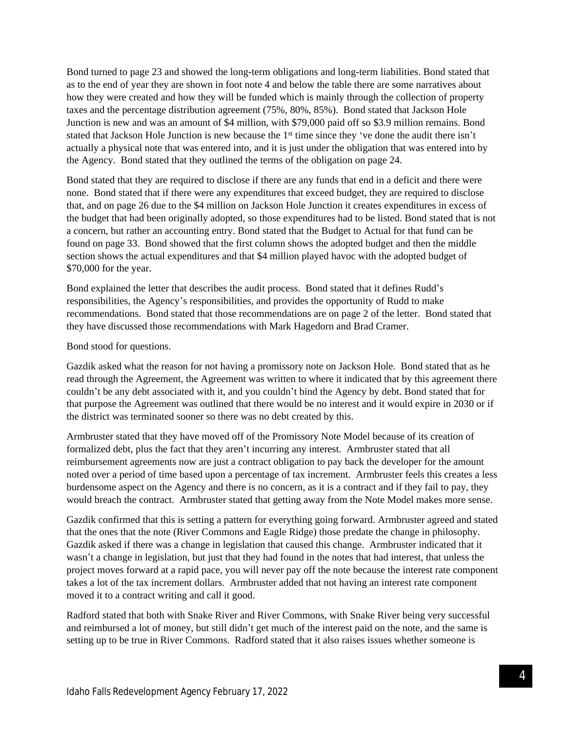Bond turned to page 23 and showed the long-term obligations and long-term liabilities. Bond stated that as to the end of year they are shown in foot note 4 and below the table there are some narratives about how they were created and how they will be funded which is mainly through the collection of property taxes and the percentage distribution agreement (75%, 80%, 85%). Bond stated that Jackson Hole Junction is new and was an amount of \$4 million, with \$79,000 paid off so \$3.9 million remains. Bond stated that Jackson Hole Junction is new because the 1st time since they 've done the audit there isn't actually a physical note that was entered into, and it is just under the obligation that was entered into by the Agency. Bond stated that they outlined the terms of the obligation on page 24.

Bond stated that they are required to disclose if there are any funds that end in a deficit and there were none. Bond stated that if there were any expenditures that exceed budget, they are required to disclose that, and on page 26 due to the \$4 million on Jackson Hole Junction it creates expenditures in excess of the budget that had been originally adopted, so those expenditures had to be listed. Bond stated that is not a concern, but rather an accounting entry. Bond stated that the Budget to Actual for that fund can be found on page 33. Bond showed that the first column shows the adopted budget and then the middle section shows the actual expenditures and that \$4 million played havoc with the adopted budget of \$70,000 for the year.

Bond explained the letter that describes the audit process. Bond stated that it defines Rudd's responsibilities, the Agency's responsibilities, and provides the opportunity of Rudd to make recommendations. Bond stated that those recommendations are on page 2 of the letter. Bond stated that they have discussed those recommendations with Mark Hagedorn and Brad Cramer.

Bond stood for questions.

Gazdik asked what the reason for not having a promissory note on Jackson Hole. Bond stated that as he read through the Agreement, the Agreement was written to where it indicated that by this agreement there couldn't be any debt associated with it, and you couldn't bind the Agency by debt. Bond stated that for that purpose the Agreement was outlined that there would be no interest and it would expire in 2030 or if the district was terminated sooner so there was no debt created by this.

Armbruster stated that they have moved off of the Promissory Note Model because of its creation of formalized debt, plus the fact that they aren't incurring any interest. Armbruster stated that all reimbursement agreements now are just a contract obligation to pay back the developer for the amount noted over a period of time based upon a percentage of tax increment. Armbruster feels this creates a less burdensome aspect on the Agency and there is no concern, as it is a contract and if they fail to pay, they would breach the contract. Armbruster stated that getting away from the Note Model makes more sense.

Gazdik confirmed that this is setting a pattern for everything going forward. Armbruster agreed and stated that the ones that the note (River Commons and Eagle Ridge) those predate the change in philosophy. Gazdik asked if there was a change in legislation that caused this change. Armbruster indicated that it wasn't a change in legislation, but just that they had found in the notes that had interest, that unless the project moves forward at a rapid pace, you will never pay off the note because the interest rate component takes a lot of the tax increment dollars. Armbruster added that not having an interest rate component moved it to a contract writing and call it good.

Radford stated that both with Snake River and River Commons, with Snake River being very successful and reimbursed a lot of money, but still didn't get much of the interest paid on the note, and the same is setting up to be true in River Commons. Radford stated that it also raises issues whether someone is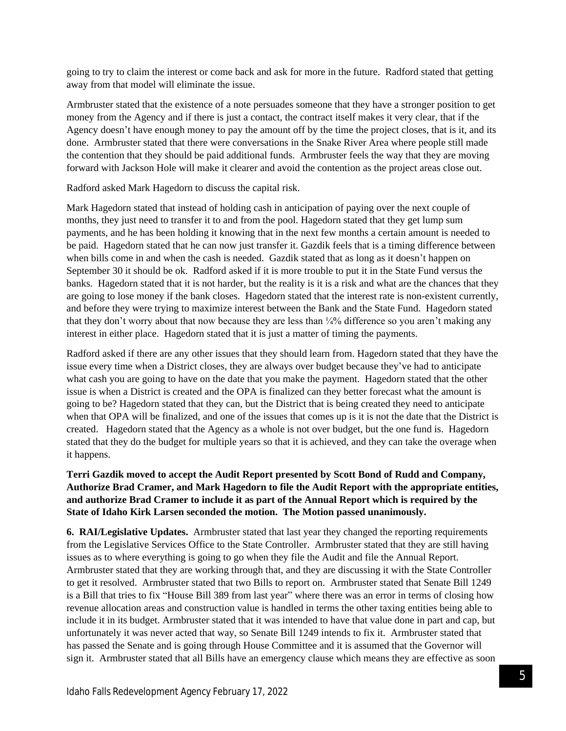going to try to claim the interest or come back and ask for more in the future. Radford stated that getting away from that model will eliminate the issue.

Armbruster stated that the existence of a note persuades someone that they have a stronger position to get money from the Agency and if there is just a contact, the contract itself makes it very clear, that if the Agency doesn't have enough money to pay the amount off by the time the project closes, that is it, and its done. Armbruster stated that there were conversations in the Snake River Area where people still made the contention that they should be paid additional funds. Armbruster feels the way that they are moving forward with Jackson Hole will make it clearer and avoid the contention as the project areas close out.

Radford asked Mark Hagedorn to discuss the capital risk.

Mark Hagedorn stated that instead of holding cash in anticipation of paying over the next couple of months, they just need to transfer it to and from the pool. Hagedorn stated that they get lump sum payments, and he has been holding it knowing that in the next few months a certain amount is needed to be paid. Hagedorn stated that he can now just transfer it. Gazdik feels that is a timing difference between when bills come in and when the cash is needed. Gazdik stated that as long as it doesn't happen on September 30 it should be ok. Radford asked if it is more trouble to put it in the State Fund versus the banks. Hagedorn stated that it is not harder, but the reality is it is a risk and what are the chances that they are going to lose money if the bank closes. Hagedorn stated that the interest rate is non-existent currently, and before they were trying to maximize interest between the Bank and the State Fund. Hagedorn stated that they don't worry about that now because they are less than ¼% difference so you aren't making any interest in either place. Hagedorn stated that it is just a matter of timing the payments.

Radford asked if there are any other issues that they should learn from. Hagedorn stated that they have the issue every time when a District closes, they are always over budget because they've had to anticipate what cash you are going to have on the date that you make the payment. Hagedorn stated that the other issue is when a District is created and the OPA is finalized can they better forecast what the amount is going to be? Hagedorn stated that they can, but the District that is being created they need to anticipate when that OPA will be finalized, and one of the issues that comes up is it is not the date that the District is created. Hagedorn stated that the Agency as a whole is not over budget, but the one fund is. Hagedorn stated that they do the budget for multiple years so that it is achieved, and they can take the overage when it happens.

# **Terri Gazdik moved to accept the Audit Report presented by Scott Bond of Rudd and Company, Authorize Brad Cramer, and Mark Hagedorn to file the Audit Report with the appropriate entities, and authorize Brad Cramer to include it as part of the Annual Report which is required by the State of Idaho Kirk Larsen seconded the motion. The Motion passed unanimously.**

**6. RAI/Legislative Updates.** Armbruster stated that last year they changed the reporting requirements from the Legislative Services Office to the State Controller. Armbruster stated that they are still having issues as to where everything is going to go when they file the Audit and file the Annual Report. Armbruster stated that they are working through that, and they are discussing it with the State Controller to get it resolved. Armbruster stated that two Bills to report on. Armbruster stated that Senate Bill 1249 is a Bill that tries to fix "House Bill 389 from last year" where there was an error in terms of closing how revenue allocation areas and construction value is handled in terms the other taxing entities being able to include it in its budget. Armbruster stated that it was intended to have that value done in part and cap, but unfortunately it was never acted that way, so Senate Bill 1249 intends to fix it. Armbruster stated that has passed the Senate and is going through House Committee and it is assumed that the Governor will sign it. Armbruster stated that all Bills have an emergency clause which means they are effective as soon